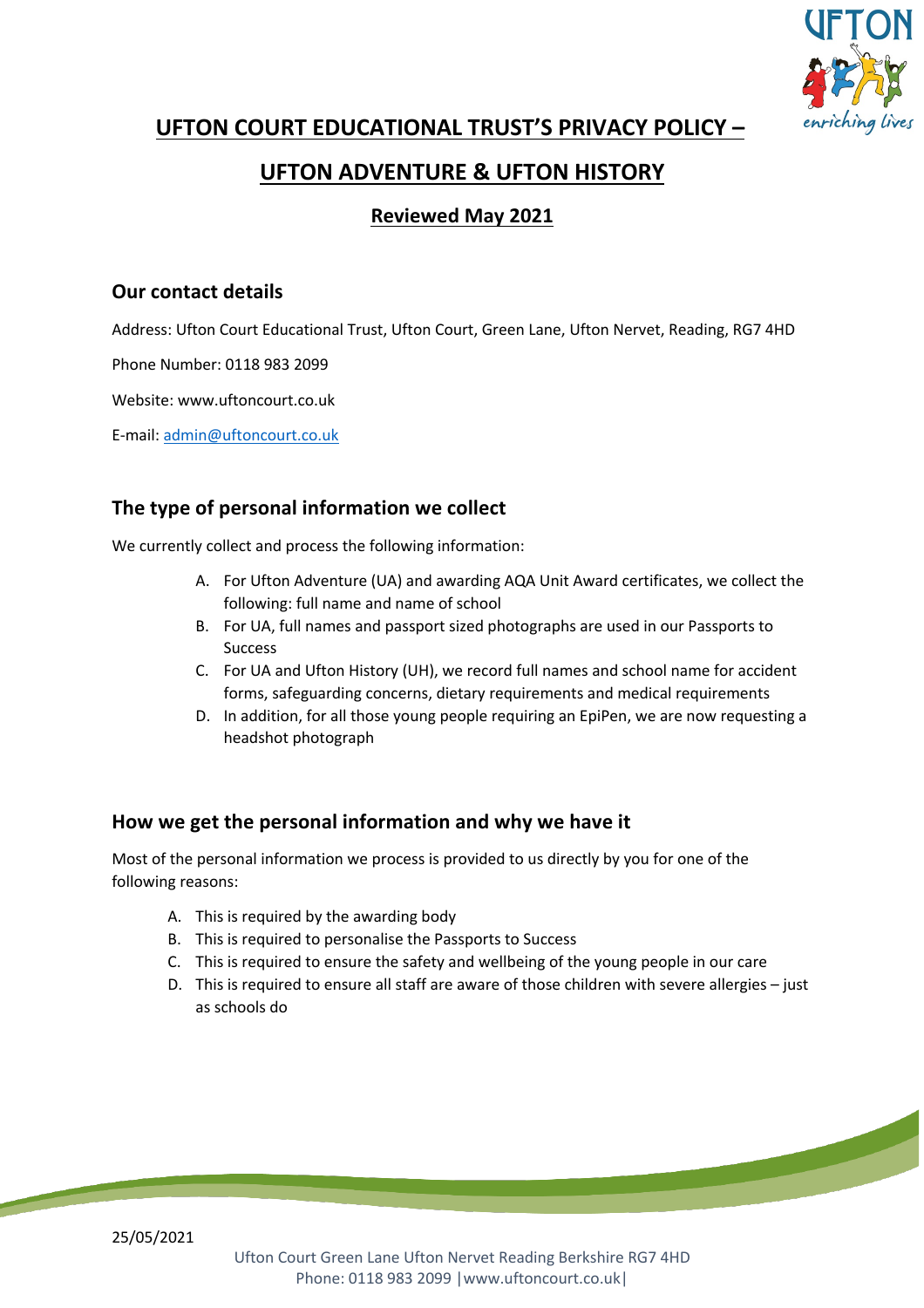

**UFTON COURT EDUCATIONAL TRUST'S PRIVACY POLICY –**

# **UFTON ADVENTURE & UFTON HISTORY**

# **Reviewed May 2021**

## **Our contact details**

Address: Ufton Court Educational Trust, Ufton Court, Green Lane, Ufton Nervet, Reading, RG7 4HD

Phone Number: 0118 983 2099

Website: www.uftoncourt.co.uk

E-mail: admin@uftoncourt.co.uk

# **The type of personal information we collect**

We currently collect and process the following information:

- A. For Ufton Adventure (UA) and awarding AQA Unit Award certificates, we collect the following: full name and name of school
- B. For UA, full names and passport sized photographs are used in our Passports to Success
- C. For UA and Ufton History (UH), we record full names and school name for accident forms, safeguarding concerns, dietary requirements and medical requirements
- D. In addition, for all those young people requiring an EpiPen, we are now requesting a headshot photograph

## **How we get the personal information and why we have it**

Most of the personal information we process is provided to us directly by you for one of the following reasons:

- A. This is required by the awarding body
- B. This is required to personalise the Passports to Success
- C. This is required to ensure the safety and wellbeing of the young people in our care
- D. This is required to ensure all staff are aware of those children with severe allergies just as schools do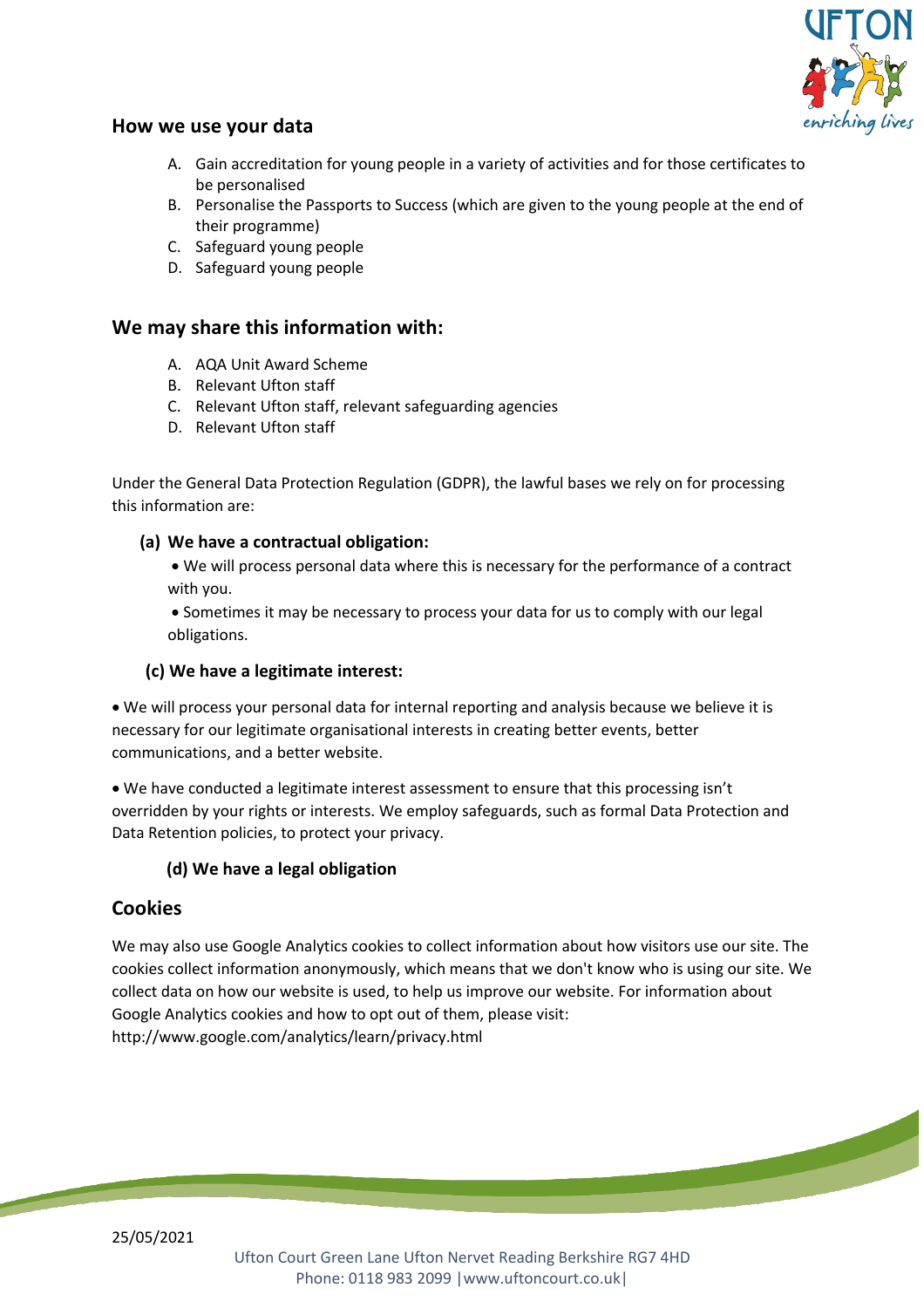

### **How we use your data**

- A. Gain accreditation for young people in a variety of activities and for those certificates to be personalised
- B. Personalise the Passports to Success (which are given to the young people at the end of their programme)
- C. Safeguard young people
- D. Safeguard young people

### **We may share this information with:**

- A. AQA Unit Award Scheme
- B. Relevant Ufton staff
- C. Relevant Ufton staff, relevant safeguarding agencies
- D. Relevant Ufton staff

Under the General Data Protection Regulation (GDPR), the lawful bases we rely on for processing this information are:

#### **(a) We have a contractual obligation:**

• We will process personal data where this is necessary for the performance of a contract with you.

• Sometimes it may be necessary to process your data for us to comply with our legal obligations.

#### **(c) We have a legitimate interest:**

• We will process your personal data for internal reporting and analysis because we believe it is necessary for our legitimate organisational interests in creating better events, better communications, and a better website.

• We have conducted a legitimate interest assessment to ensure that this processing isn't overridden by your rights or interests. We employ safeguards, such as formal Data Protection and Data Retention policies, to protect your privacy.

#### **(d) We have a legal obligation**

### **Cookies**

We may also use Google Analytics cookies to collect information about how visitors use our site. The cookies collect information anonymously, which means that we don't know who is using our site. We collect data on how our website is used, to help us improve our website. For information about Google Analytics cookies and how to opt out of them, please visit: http://www.google.com/analytics/learn/privacy.html

25/05/2021

Ufton Court Green Lane Ufton Nervet Reading Berkshire RG7 4HD Phone: 0118 983 2099 |www.uftoncourt.co.uk|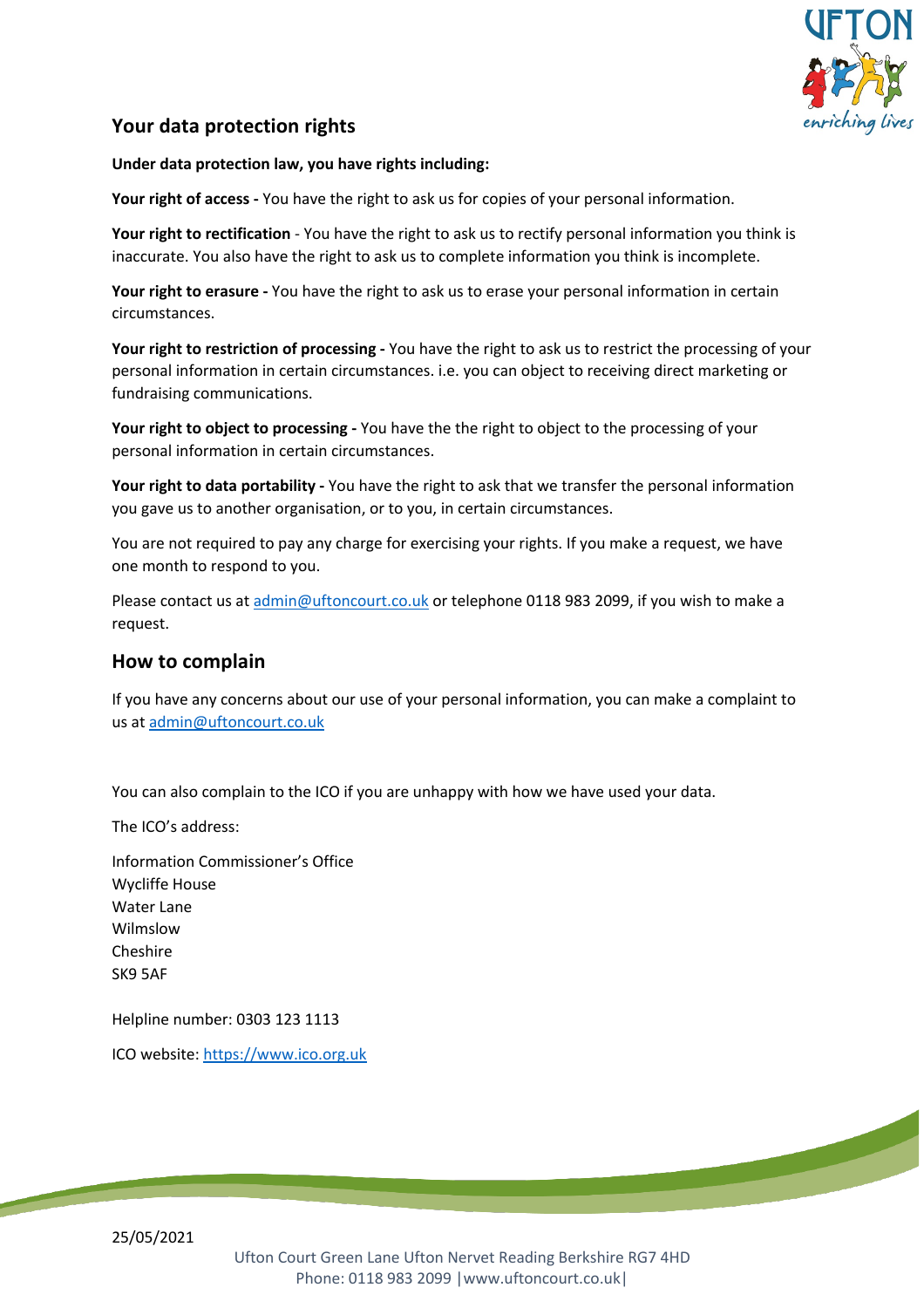

## **Your data protection rights**

#### **Under data protection law, you have rights including:**

**Your right of access -** You have the right to ask us for copies of your personal information.

**Your right to rectification** - You have the right to ask us to rectify personal information you think is inaccurate. You also have the right to ask us to complete information you think is incomplete.

**Your right to erasure -** You have the right to ask us to erase your personal information in certain circumstances.

**Your right to restriction of processing -** You have the right to ask us to restrict the processing of your personal information in certain circumstances. i.e. you can object to receiving direct marketing or fundraising communications.

**Your right to object to processing -** You have the the right to object to the processing of your personal information in certain circumstances.

**Your right to data portability -** You have the right to ask that we transfer the personal information you gave us to another organisation, or to you, in certain circumstances.

You are not required to pay any charge for exercising your rights. If you make a request, we have one month to respond to you.

Please contact us at admin@uftoncourt.co.uk or telephone 0118 983 2099, if you wish to make a request.

#### **How to complain**

If you have any concerns about our use of your personal information, you can make a complaint to us at admin@uftoncourt.co.uk

You can also complain to the ICO if you are unhappy with how we have used your data.

The ICO's address:

Information Commissioner's Office Wycliffe House Water Lane Wilmslow Cheshire SK9 5AF

Helpline number: 0303 123 1113

ICO website: https://www.ico.org.uk

25/05/2021

Ufton Court Green Lane Ufton Nervet Reading Berkshire RG7 4HD Phone: 0118 983 2099 |www.uftoncourt.co.uk|